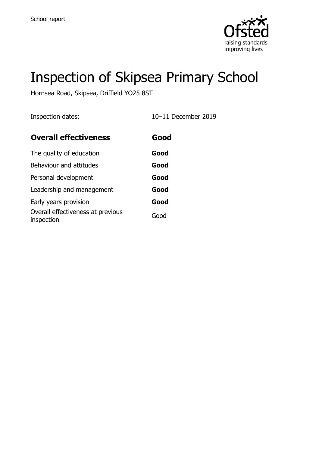

# Inspection of Skipsea Primary School

Hornsea Road, Skipsea, Driffield YO25 8ST

Inspection dates: 10–11 December 2019

| <b>Overall effectiveness</b>                    | Good |
|-------------------------------------------------|------|
| The quality of education                        | Good |
| Behaviour and attitudes                         | Good |
| Personal development                            | Good |
| Leadership and management                       | Good |
| Early years provision                           | Good |
| Overall effectiveness at previous<br>inspection | Good |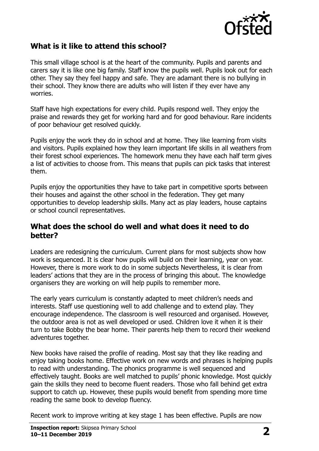

### **What is it like to attend this school?**

This small village school is at the heart of the community. Pupils and parents and carers say it is like one big family. Staff know the pupils well. Pupils look out for each other. They say they feel happy and safe. They are adamant there is no bullying in their school. They know there are adults who will listen if they ever have any worries.

Staff have high expectations for every child. Pupils respond well. They enjoy the praise and rewards they get for working hard and for good behaviour. Rare incidents of poor behaviour get resolved quickly.

Pupils enjoy the work they do in school and at home. They like learning from visits and visitors. Pupils explained how they learn important life skills in all weathers from their forest school experiences. The homework menu they have each half term gives a list of activities to choose from. This means that pupils can pick tasks that interest them.

Pupils enjoy the opportunities they have to take part in competitive sports between their houses and against the other school in the federation. They get many opportunities to develop leadership skills. Many act as play leaders, house captains or school council representatives.

#### **What does the school do well and what does it need to do better?**

Leaders are redesigning the curriculum. Current plans for most subjects show how work is sequenced. It is clear how pupils will build on their learning, year on year. However, there is more work to do in some subjects Nevertheless, it is clear from leaders' actions that they are in the process of bringing this about. The knowledge organisers they are working on will help pupils to remember more.

The early years curriculum is constantly adapted to meet children's needs and interests. Staff use questioning well to add challenge and to extend play. They encourage independence. The classroom is well resourced and organised. However, the outdoor area is not as well developed or used. Children love it when it is their turn to take Bobby the bear home. Their parents help them to record their weekend adventures together.

New books have raised the profile of reading. Most say that they like reading and enjoy taking books home. Effective work on new words and phrases is helping pupils to read with understanding. The phonics programme is well sequenced and effectively taught. Books are well matched to pupils' phonic knowledge. Most quickly gain the skills they need to become fluent readers. Those who fall behind get extra support to catch up. However, these pupils would benefit from spending more time reading the same book to develop fluency.

Recent work to improve writing at key stage 1 has been effective. Pupils are now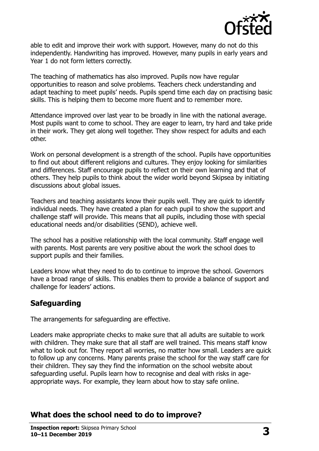

able to edit and improve their work with support. However, many do not do this independently. Handwriting has improved. However, many pupils in early years and Year 1 do not form letters correctly.

The teaching of mathematics has also improved. Pupils now have regular opportunities to reason and solve problems. Teachers check understanding and adapt teaching to meet pupils' needs. Pupils spend time each day on practising basic skills. This is helping them to become more fluent and to remember more.

Attendance improved over last year to be broadly in line with the national average. Most pupils want to come to school. They are eager to learn, try hard and take pride in their work. They get along well together. They show respect for adults and each other.

Work on personal development is a strength of the school. Pupils have opportunities to find out about different religions and cultures. They enjoy looking for similarities and differences. Staff encourage pupils to reflect on their own learning and that of others. They help pupils to think about the wider world beyond Skipsea by initiating discussions about global issues.

Teachers and teaching assistants know their pupils well. They are quick to identify individual needs. They have created a plan for each pupil to show the support and challenge staff will provide. This means that all pupils, including those with special educational needs and/or disabilities (SEND), achieve well.

The school has a positive relationship with the local community. Staff engage well with parents. Most parents are very positive about the work the school does to support pupils and their families.

Leaders know what they need to do to continue to improve the school. Governors have a broad range of skills. This enables them to provide a balance of support and challenge for leaders' actions.

#### **Safeguarding**

The arrangements for safeguarding are effective.

Leaders make appropriate checks to make sure that all adults are suitable to work with children. They make sure that all staff are well trained. This means staff know what to look out for. They report all worries, no matter how small. Leaders are quick to follow up any concerns. Many parents praise the school for the way staff care for their children. They say they find the information on the school website about safeguarding useful. Pupils learn how to recognise and deal with risks in ageappropriate ways. For example, they learn about how to stay safe online.

#### **What does the school need to do to improve?**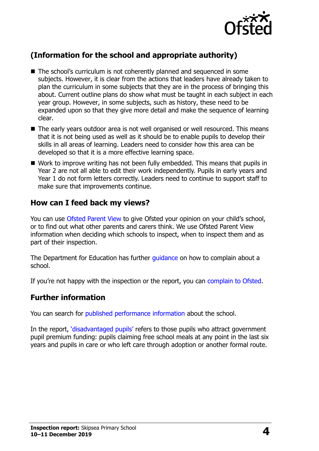

# **(Information for the school and appropriate authority)**

- The school's curriculum is not coherently planned and sequenced in some subjects. However, it is clear from the actions that leaders have already taken to plan the curriculum in some subjects that they are in the process of bringing this about. Current outline plans do show what must be taught in each subject in each year group. However, in some subjects, such as history, these need to be expanded upon so that they give more detail and make the sequence of learning clear.
- The early years outdoor area is not well organised or well resourced. This means that it is not being used as well as it should be to enable pupils to develop their skills in all areas of learning. Leaders need to consider how this area can be developed so that it is a more effective learning space.
- Work to improve writing has not been fully embedded. This means that pupils in Year 2 are not all able to edit their work independently. Pupils in early years and Year 1 do not form letters correctly. Leaders need to continue to support staff to make sure that improvements continue.

#### **How can I feed back my views?**

You can use [Ofsted Parent View](http://parentview.ofsted.gov.uk/) to give Ofsted your opinion on your child's school, or to find out what other parents and carers think. We use Ofsted Parent View information when deciding which schools to inspect, when to inspect them and as part of their inspection.

The Department for Education has further quidance on how to complain about a school.

If you're not happy with the inspection or the report, you can [complain to Ofsted.](http://www.gov.uk/complain-ofsted-report)

#### **Further information**

You can search for [published performance information](http://www.compare-school-performance.service.gov.uk/) about the school.

In the report, '[disadvantaged pupils](http://www.gov.uk/guidance/pupil-premium-information-for-schools-and-alternative-provision-settings)' refers to those pupils who attract government pupil premium funding: pupils claiming free school meals at any point in the last six years and pupils in care or who left care through adoption or another formal route.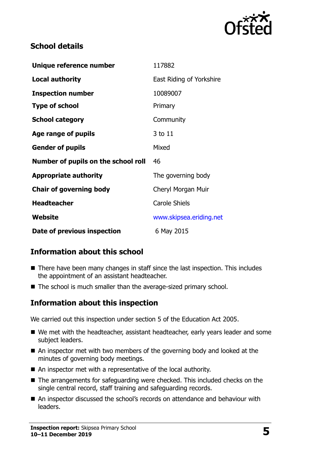

## **School details**

| Unique reference number             | 117882                   |
|-------------------------------------|--------------------------|
| <b>Local authority</b>              | East Riding of Yorkshire |
| <b>Inspection number</b>            | 10089007                 |
| <b>Type of school</b>               | Primary                  |
| <b>School category</b>              | Community                |
| Age range of pupils                 | 3 to 11                  |
| <b>Gender of pupils</b>             | Mixed                    |
| Number of pupils on the school roll | 46                       |
| <b>Appropriate authority</b>        | The governing body       |
| <b>Chair of governing body</b>      | Cheryl Morgan Muir       |
| <b>Headteacher</b>                  | <b>Carole Shiels</b>     |
| Website                             | www.skipsea.eriding.net  |
| Date of previous inspection         | 6 May 2015               |

# **Information about this school**

- There have been many changes in staff since the last inspection. This includes the appointment of an assistant headteacher.
- The school is much smaller than the average-sized primary school.

#### **Information about this inspection**

We carried out this inspection under section 5 of the Education Act 2005.

- We met with the headteacher, assistant headteacher, early years leader and some subject leaders.
- An inspector met with two members of the governing body and looked at the minutes of governing body meetings.
- An inspector met with a representative of the local authority.
- The arrangements for safeguarding were checked. This included checks on the single central record, staff training and safeguarding records.
- An inspector discussed the school's records on attendance and behaviour with leaders.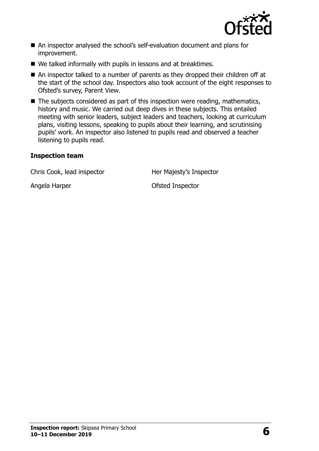

- An inspector analysed the school's self-evaluation document and plans for improvement.
- We talked informally with pupils in lessons and at breaktimes.
- An inspector talked to a number of parents as they dropped their children off at the start of the school day. Inspectors also took account of the eight responses to Ofsted's survey, Parent View.
- $\blacksquare$  The subjects considered as part of this inspection were reading, mathematics, history and music. We carried out deep dives in these subjects. This entailed meeting with senior leaders, subject leaders and teachers, looking at curriculum plans, visiting lessons, speaking to pupils about their learning, and scrutinising pupils' work. An inspector also listened to pupils read and observed a teacher listening to pupils read.

#### **Inspection team**

Chris Cook, lead inspector **Her Majesty's Inspector** 

Angela Harper **Calculates** Ofsted Inspector